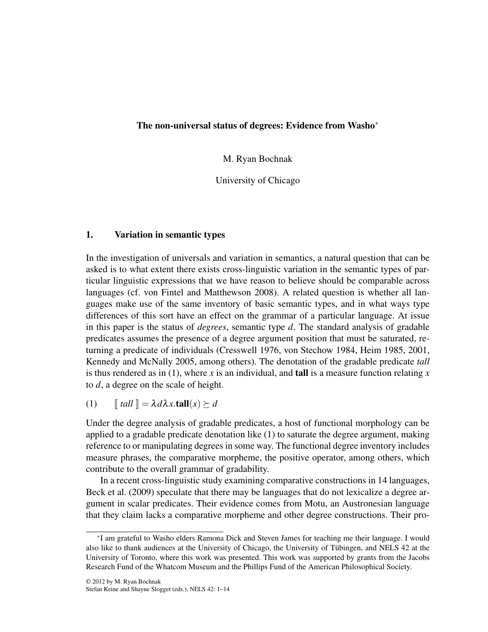# The non-universal status of degrees: Evidence from Washo<sup>∗</sup>

M. Ryan Bochnak

University of Chicago

# 1. Variation in semantic types

In the investigation of universals and variation in semantics, a natural question that can be asked is to what extent there exists cross-linguistic variation in the semantic types of particular linguistic expressions that we have reason to believe should be comparable across languages (cf. von Fintel and Matthewson 2008). A related question is whether all languages make use of the same inventory of basic semantic types, and in what ways type differences of this sort have an effect on the grammar of a particular language. At issue in this paper is the status of *degrees*, semantic type *d*. The standard analysis of gradable predicates assumes the presence of a degree argument position that must be saturated, returning a predicate of individuals (Cresswell 1976, von Stechow 1984, Heim 1985, 2001, Kennedy and McNally 2005, among others). The denotation of the gradable predicate *tall* is thus rendered as in  $(1)$ , where x is an individual, and **tall** is a measure function relating x to *d*, a degree on the scale of height.

(1)  $\llbracket \text{ tall} \rrbracket = \lambda d\lambda x. \text{tall}(x) \succeq d$ 

Under the degree analysis of gradable predicates, a host of functional morphology can be applied to a gradable predicate denotation like (1) to saturate the degree argument, making reference to or manipulating degrees in some way. The functional degree inventory includes measure phrases, the comparative morpheme, the positive operator, among others, which contribute to the overall grammar of gradability.

In a recent cross-linguistic study examining comparative constructions in 14 languages, Beck et al. (2009) speculate that there may be languages that do not lexicalize a degree argument in scalar predicates. Their evidence comes from Motu, an Austronesian language that they claim lacks a comparative morpheme and other degree constructions. Their pro-

<sup>∗</sup> I am grateful to Washo elders Ramona Dick and Steven James for teaching me their language. I would also like to thank audiences at the University of Chicago, the University of Tübingen, and NELS 42 at the University of Toronto, where this work was presented. This work was supported by grants from the Jacobs Research Fund of the Whatcom Museum and the Phillips Fund of the American Philosophical Society.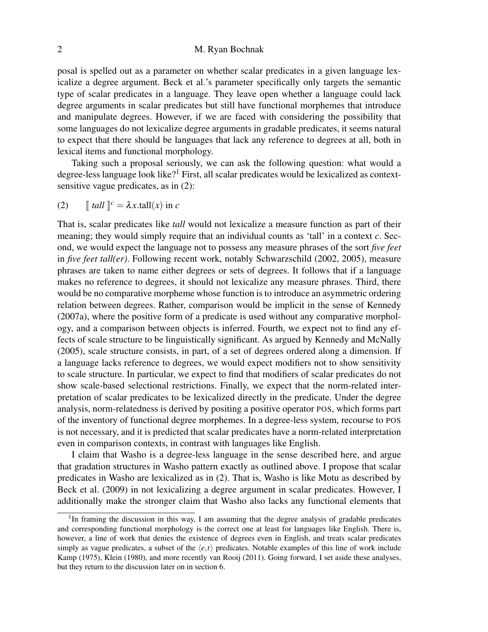# 2 M. Ryan Bochnak

posal is spelled out as a parameter on whether scalar predicates in a given language lexicalize a degree argument. Beck et al.'s parameter specifically only targets the semantic type of scalar predicates in a language. They leave open whether a language could lack degree arguments in scalar predicates but still have functional morphemes that introduce and manipulate degrees. However, if we are faced with considering the possibility that some languages do not lexicalize degree arguments in gradable predicates, it seems natural to expect that there should be languages that lack any reference to degrees at all, both in lexical items and functional morphology.

Taking such a proposal seriously, we can ask the following question: what would a degree-less language look like?<sup>1</sup> First, all scalar predicates would be lexicalized as contextsensitive vague predicates, as in (2):

(2) 
$$
\llbracket \tanh \rrbracket^c = \lambda x. \text{tall}(x) \text{ in } c
$$

That is, scalar predicates like *tall* would not lexicalize a measure function as part of their meaning; they would simply require that an individual counts as 'tall' in a context *c*. Second, we would expect the language not to possess any measure phrases of the sort *five feet* in *five feet tall(er)*. Following recent work, notably Schwarzschild (2002, 2005), measure phrases are taken to name either degrees or sets of degrees. It follows that if a language makes no reference to degrees, it should not lexicalize any measure phrases. Third, there would be no comparative morpheme whose function is to introduce an asymmetric ordering relation between degrees. Rather, comparison would be implicit in the sense of Kennedy (2007a), where the positive form of a predicate is used without any comparative morphology, and a comparison between objects is inferred. Fourth, we expect not to find any effects of scale structure to be linguistically significant. As argued by Kennedy and McNally (2005), scale structure consists, in part, of a set of degrees ordered along a dimension. If a language lacks reference to degrees, we would expect modifiers not to show sensitivity to scale structure. In particular, we expect to find that modifiers of scalar predicates do not show scale-based selectional restrictions. Finally, we expect that the norm-related interpretation of scalar predicates to be lexicalized directly in the predicate. Under the degree analysis, norm-relatedness is derived by positing a positive operator POS, which forms part of the inventory of functional degree morphemes. In a degree-less system, recourse to POS is not necessary, and it is predicted that scalar predicates have a norm-related interpretation even in comparison contexts, in contrast with languages like English.

I claim that Washo is a degree-less language in the sense described here, and argue that gradation structures in Washo pattern exactly as outlined above. I propose that scalar predicates in Washo are lexicalized as in (2). That is, Washo is like Motu as described by Beck et al. (2009) in not lexicalizing a degree argument in scalar predicates. However, I additionally make the stronger claim that Washo also lacks any functional elements that

<sup>&</sup>lt;sup>1</sup>In framing the discussion in this way, I am assuming that the degree analysis of gradable predicates and corresponding functional morphology is the correct one at least for languages like English. There is, however, a line of work that denies the existence of degrees even in English, and treats scalar predicates simply as vague predicates, a subset of the  $\langle e, t \rangle$  predicates. Notable examples of this line of work include Kamp (1975), Klein (1980), and more recently van Rooij (2011). Going forward, I set aside these analyses, but they return to the discussion later on in section 6.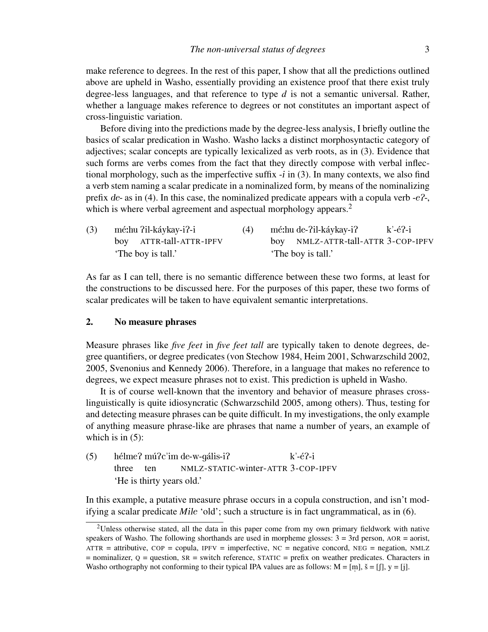make reference to degrees. In the rest of this paper, I show that all the predictions outlined above are upheld in Washo, essentially providing an existence proof that there exist truly degree-less languages, and that reference to type *d* is not a semantic universal. Rather, whether a language makes reference to degrees or not constitutes an important aspect of cross-linguistic variation.

Before diving into the predictions made by the degree-less analysis, I briefly outline the basics of scalar predication in Washo. Washo lacks a distinct morphosyntactic category of adjectives; scalar concepts are typically lexicalized as verb roots, as in (3). Evidence that such forms are verbs comes from the fact that they directly compose with verbal inflectional morphology, such as the imperfective suffix  $-i$  in (3). In many contexts, we also find a verb stem naming a scalar predicate in a nominalized form, by means of the nominalizing prefix de- as in (4). In this case, the nominalized predicate appears with a copula verb  $-e^2$ -, which is where verbal agreement and aspectual morphology appears.<sup>2</sup>

| (3) |                    | mé:hu ?il-káykay-i?-i   |                    | mé:hu de-?il-káykay-i?             | $k'-e^2-i$ |
|-----|--------------------|-------------------------|--------------------|------------------------------------|------------|
|     |                    | boy ATTR-tall-ATTR-IPFV |                    | boy NMLZ-ATTR-tall-ATTR 3-COP-IPFV |            |
|     | 'The boy is tall.' |                         | 'The boy is tall.' |                                    |            |

As far as I can tell, there is no semantic difference between these two forms, at least for the constructions to be discussed here. For the purposes of this paper, these two forms of scalar predicates will be taken to have equivalent semantic interpretations.

### 2. No measure phrases

Measure phrases like *five feet* in *five feet tall* are typically taken to denote degrees, degree quantifiers, or degree predicates (von Stechow 1984, Heim 2001, Schwarzschild 2002, 2005, Svenonius and Kennedy 2006). Therefore, in a language that makes no reference to degrees, we expect measure phrases not to exist. This prediction is upheld in Washo.

It is of course well-known that the inventory and behavior of measure phrases crosslinguistically is quite idiosyncratic (Schwarzschild 2005, among others). Thus, testing for and detecting measure phrases can be quite difficult. In my investigations, the only example of anything measure phrase-like are phrases that name a number of years, an example of which is in  $(5)$ :

(5) hélme? mú?c'im de-w-gális-i? three ten NMLZ-STATIC-winter-ATTR 3-COP-IPFV  $k$ '-é?-i 'He is thirty years old.'

In this example, a putative measure phrase occurs in a copula construction, and isn't modifying a scalar predicate *M*ile 'old'; such a structure is in fact ungrammatical, as in (6).

<sup>&</sup>lt;sup>2</sup>Unless otherwise stated, all the data in this paper come from my own primary fieldwork with native speakers of Washo. The following shorthands are used in morpheme glosses:  $3 = 3$ rd person, AOR = aorist,  $ATTR = attribute$ ,  $COP = copula$ ,  $IPFV = imperfective$ ,  $NC = negative \: concord$ ,  $NEG = negation$ ,  $NMLZ$  $=$  nominalizer,  $Q =$  question,  $SR =$  switch reference, STATIC = prefix on weather predicates. Characters in Washo orthography not conforming to their typical IPA values are as follows:  $M = [m]$ ,  $\check{s} = [f]$ ,  $y = [j]$ .  $^{\circ}$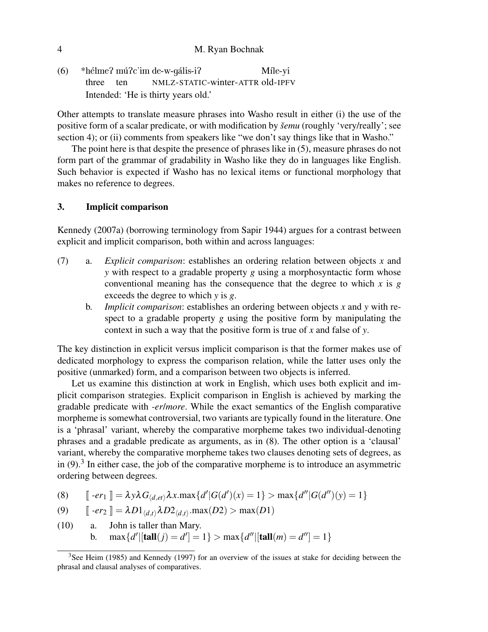#### 4 M. Ryan Bochnak

(6) \*hélme? mú?c'im de-w-gális-i? three ten NMLZ-STATIC-winter-ATTR old-IPFV Mîle-yi Intended: 'He is thirty years old.'

Other attempts to translate measure phrases into Washo result in either (i) the use of the positive form of a scalar predicate, or with modification by *šemu* (roughly 'very/really'; see section 4); or (ii) comments from speakers like "we don't say things like that in Washo."

The point here is that despite the presence of phrases like in (5), measure phrases do not form part of the grammar of gradability in Washo like they do in languages like English. Such behavior is expected if Washo has no lexical items or functional morphology that makes no reference to degrees.

# 3. Implicit comparison

Kennedy (2007a) (borrowing terminology from Sapir 1944) argues for a contrast between explicit and implicit comparison, both within and across languages:

- (7) a. *Explicit comparison*: establishes an ordering relation between objects *x* and *y* with respect to a gradable property *g* using a morphosyntactic form whose conventional meaning has the consequence that the degree to which  $x$  is  $g$ exceeds the degree to which *y* is *g*.
	- b. *Implicit comparison*: establishes an ordering between objects *x* and *y* with respect to a gradable property *g* using the positive form by manipulating the context in such a way that the positive form is true of *x* and false of *y*.

The key distinction in explicit versus implicit comparison is that the former makes use of dedicated morphology to express the comparison relation, while the latter uses only the positive (unmarked) form, and a comparison between two objects is inferred.

Let us examine this distinction at work in English, which uses both explicit and implicit comparison strategies. Explicit comparison in English is achieved by marking the gradable predicate with *-er*/*more*. While the exact semantics of the English comparative morpheme is somewhat controversial, two variants are typically found in the literature. One is a 'phrasal' variant, whereby the comparative morpheme takes two individual-denoting phrases and a gradable predicate as arguments, as in (8). The other option is a 'clausal' variant, whereby the comparative morpheme takes two clauses denoting sets of degrees, as in  $(9)$ .<sup>3</sup> In either case, the job of the comparative morpheme is to introduce an asymmetric ordering between degrees.

(8) 
$$
\llbracket -er_1 \rrbracket = \lambda y \lambda G_{\langle d, et \rangle} \lambda x. \max \{ d' | G(d')(x) = 1 \} > \max \{ d'' | G(d'')(y) = 1 \}
$$

(9) 
$$
\llbracket -er_2 \rrbracket = \lambda D1_{\langle d,t \rangle} \lambda D2_{\langle d,t \rangle} \cdot \max(D2) > \max(D1)
$$

(10) a. John is taller than Mary. b.  $\max\{d' | [\text{tall}(j) = d'] = 1\} > \max\{d'' | [\text{tall}(m) = d''] = 1\}$ 

<sup>&</sup>lt;sup>3</sup>See Heim (1985) and Kennedy (1997) for an overview of the issues at stake for deciding between the phrasal and clausal analyses of comparatives.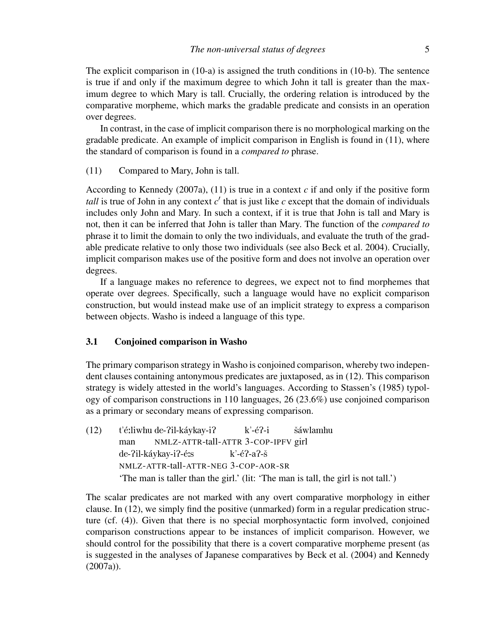In contrast, in the case of implicit comparison there is no morphological marking on the gradable predicate. An example of implicit comparison in English is found in (11), where the standard of comparison is found in a *compared to* phrase.

(11) Compared to Mary, John is tall.

According to Kennedy (2007a), (11) is true in a context *c* if and only if the positive form tall is true of John in any context  $c'$  that is just like  $c$  except that the domain of individuals includes only John and Mary. In such a context, if it is true that John is tall and Mary is not, then it can be inferred that John is taller than Mary. The function of the *compared to* phrase it to limit the domain to only the two individuals, and evaluate the truth of the gradable predicate relative to only those two individuals (see also Beck et al. 2004). Crucially, implicit comparison makes use of the positive form and does not involve an operation over degrees.

If a language makes no reference to degrees, we expect not to find morphemes that operate over degrees. Specifically, such a language would have no explicit comparison construction, but would instead make use of an implicit strategy to express a comparison between objects. Washo is indeed a language of this type.

### 3.1 Conjoined comparison in Washo

The primary comparison strategy in Washo is conjoined comparison, whereby two independent clauses containing antonymous predicates are juxtaposed, as in (12). This comparison strategy is widely attested in the world's languages. According to Stassen's (1985) typology of comparison constructions in 110 languages, 26 (23.6%) use conjoined comparison as a primary or secondary means of expressing comparison.

(12) t'é:liwhu de-?il-káykay-i? man NMLZ-ATTR-tall-ATTR 3-COP-IPFV girl  $k$ '-é?-i šáwlamhu de-?il-káykay-i?-é:s NMLZ-ATTR-tall-ATTR-NEG 3-COP-AOR-SR  $k'-e^2-a^2-\tilde{s}$ 'The man is taller than the girl.' (lit: 'The man is tall, the girl is not tall.')

The scalar predicates are not marked with any overt comparative morphology in either clause. In (12), we simply find the positive (unmarked) form in a regular predication structure (cf. (4)). Given that there is no special morphosyntactic form involved, conjoined comparison constructions appear to be instances of implicit comparison. However, we should control for the possibility that there is a covert comparative morpheme present (as is suggested in the analyses of Japanese comparatives by Beck et al. (2004) and Kennedy (2007a)).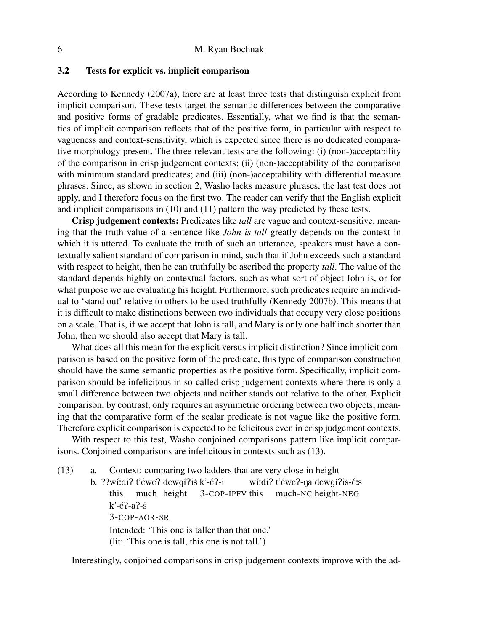### 3.2 Tests for explicit vs. implicit comparison

According to Kennedy (2007a), there are at least three tests that distinguish explicit from implicit comparison. These tests target the semantic differences between the comparative and positive forms of gradable predicates. Essentially, what we find is that the semantics of implicit comparison reflects that of the positive form, in particular with respect to vagueness and context-sensitivity, which is expected since there is no dedicated comparative morphology present. The three relevant tests are the following: (i) (non-)acceptability of the comparison in crisp judgement contexts; (ii) (non-)acceptability of the comparison with minimum standard predicates; and (iii) (non-)acceptability with differential measure phrases. Since, as shown in section 2, Washo lacks measure phrases, the last test does not apply, and I therefore focus on the first two. The reader can verify that the English explicit and implicit comparisons in (10) and (11) pattern the way predicted by these tests.

Crisp judgement contexts: Predicates like *tall* are vague and context-sensitive, meaning that the truth value of a sentence like *John is tall* greatly depends on the context in which it is uttered. To evaluate the truth of such an utterance, speakers must have a contextually salient standard of comparison in mind, such that if John exceeds such a standard with respect to height, then he can truthfully be ascribed the property *tall*. The value of the standard depends highly on contextual factors, such as what sort of object John is, or for what purpose we are evaluating his height. Furthermore, such predicates require an individual to 'stand out' relative to others to be used truthfully (Kennedy 2007b). This means that it is difficult to make distinctions between two individuals that occupy very close positions on a scale. That is, if we accept that John is tall, and Mary is only one half inch shorter than John, then we should also accept that Mary is tall.

What does all this mean for the explicit versus implicit distinction? Since implicit comparison is based on the positive form of the predicate, this type of comparison construction should have the same semantic properties as the positive form. Specifically, implicit comparison should be infelicitous in so-called crisp judgement contexts where there is only a small difference between two objects and neither stands out relative to the other. Explicit comparison, by contrast, only requires an asymmetric ordering between two objects, meaning that the comparative form of the scalar predicate is not vague like the positive form. Therefore explicit comparison is expected to be felicitous even in crisp judgement contexts.

With respect to this test, Washo conjoined comparisons pattern like implicit comparisons. Conjoined comparisons are infelicitous in contexts such as (13).

(13) a. Context: comparing two ladders that are very close in height

b. ??wíːdiʔ t'éweʔ dewgíʔiš k'-éʔ-i this much height 3-COP-IPFV this wíːdiʔ t'éweʔ-ŋa dewgíʔiš-éːs much-NC height-NEG  $k'-6$ ?-a?-š 3-COP-AOR-SR Intended: 'This one is taller than that one.' (lit: 'This one is tall, this one is not tall.')

Interestingly, conjoined comparisons in crisp judgement contexts improve with the ad-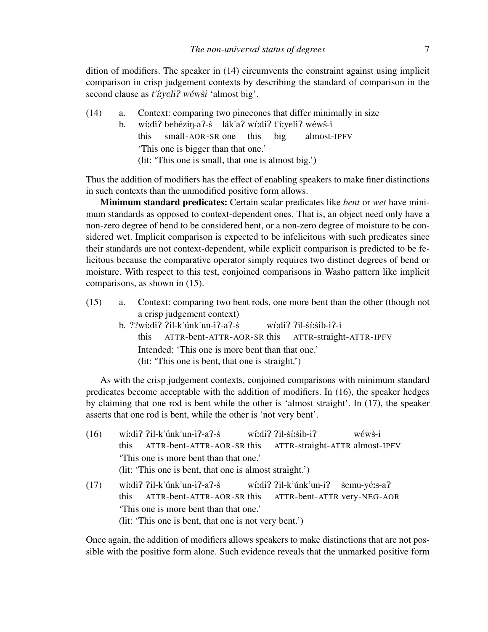dition of modifiers. The speaker in (14) circumvents the constraint against using implicit comparison in crisp judgement contexts by describing the standard of comparison in the second clause as  $t'$ *i*: $y$ eli? wéwši 'almost big'.

- (14) a. Context: comparing two pinecones that differ minimally in size
	- b. wíːdiʔ behéziŋ-aʔ-š lákʾaʔ wíːdiʔ t'íːyeliʔ wéwš-i this small-AOR-SR one this big almost-IPFV 'This one is bigger than that one.' (lit: 'This one is small, that one is almost big.')

Thus the addition of modifiers has the effect of enabling speakers to make finer distinctions in such contexts than the unmodified positive form allows.

Minimum standard predicates: Certain scalar predicates like *bent* or *wet* have minimum standards as opposed to context-dependent ones. That is, an object need only have a non-zero degree of bend to be considered bent, or a non-zero degree of moisture to be considered wet. Implicit comparison is expected to be infelicitous with such predicates since their standards are not context-dependent, while explicit comparison is predicted to be felicitous because the comparative operator simply requires two distinct degrees of bend or moisture. With respect to this test, conjoined comparisons in Washo pattern like implicit comparisons, as shown in (15).

- (15) a. Context: comparing two bent rods, one more bent than the other (though not a crisp judgement context)
	- b. ??wí:di? ?il-k'únk'un-i?-a?-š this ATTR-bent-ATTR-AOR-SR this wí:di? ?il-ší:šib-i?-i ATTR-straight-ATTR-IPFV Intended: 'This one is more bent than that one.' (lit: 'This one is bent, that one is straight.')

As with the crisp judgement contexts, conjoined comparisons with minimum standard predicates become acceptable with the addition of modifiers. In (16), the speaker hedges by claiming that one rod is bent while the other is 'almost straight'. In (17), the speaker asserts that one rod is bent, while the other is 'not very bent'.

 $(16)$  wí:di? ?il-k'únk'un-i?-a?-š this ATTR-bent-ATTR-AOR-SR this wí:di? ?il-ší:šib-i? ATTR-straight-ATTR almost-IPFV wéwš-i 'This one is more bent than that one.' (lit: 'This one is bent, that one is almost straight.') (17) wi:di? ?il-k'únk'un-i?-a?-š this ATTR-bent-ATTR-AOR-SR this wí:di? ?il-k'únk'un-i? ATTR-bent-ATTR very-NEG-AOR šemu-yé:s-a?

'This one is more bent than that one.'

(lit: 'This one is bent, that one is not very bent.')

Once again, the addition of modifiers allows speakers to make distinctions that are not possible with the positive form alone. Such evidence reveals that the unmarked positive form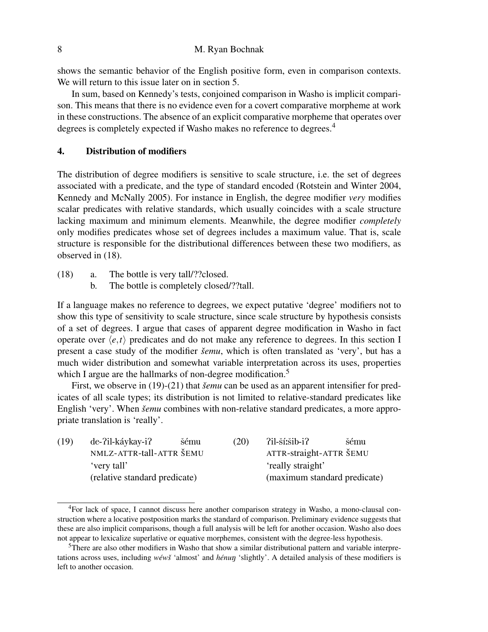shows the semantic behavior of the English positive form, even in comparison contexts. We will return to this issue later on in section 5.

In sum, based on Kennedy's tests, conjoined comparison in Washo is implicit comparison. This means that there is no evidence even for a covert comparative morpheme at work in these constructions. The absence of an explicit comparative morpheme that operates over degrees is completely expected if Washo makes no reference to degrees.<sup>4</sup>

### 4. Distribution of modifiers

The distribution of degree modifiers is sensitive to scale structure, i.e. the set of degrees associated with a predicate, and the type of standard encoded (Rotstein and Winter 2004, Kennedy and McNally 2005). For instance in English, the degree modifier *very* modifies scalar predicates with relative standards, which usually coincides with a scale structure lacking maximum and minimum elements. Meanwhile, the degree modifier *completely* only modifies predicates whose set of degrees includes a maximum value. That is, scale structure is responsible for the distributional differences between these two modifiers, as observed in (18).

- (18) a. The bottle is very tall/??closed.
	- b. The bottle is completely closed/??tall.

If a language makes no reference to degrees, we expect putative 'degree' modifiers not to show this type of sensitivity to scale structure, since scale structure by hypothesis consists of a set of degrees. I argue that cases of apparent degree modification in Washo in fact operate over  $\langle e, t \rangle$  predicates and do not make any reference to degrees. In this section I present a case study of the modifier *šemu*, which is often translated as 'very', but has a much wider distribution and somewhat variable interpretation across its uses, properties which I argue are the hallmarks of non-degree modification.<sup>5</sup>

First, we observe in (19)-(21) that *šemu* can be used as an apparent intensifier for predicates of all scale types; its distribution is not limited to relative-standard predicates like English 'very'. When *šemu* combines with non-relative standard predicates, a more appropriate translation is 'really'.

| (19) | de-?il-káykay-i?              | šému | (20) | ?il-ší:šib-i?                | šému |
|------|-------------------------------|------|------|------------------------------|------|
|      | NMLZ-ATTR-tall-ATTR ŠEMU      |      |      | ATTR-straight-ATTR ŠEMU      |      |
|      | very tall'                    |      |      | 'really straight'            |      |
|      | (relative standard predicate) |      |      | (maximum standard predicate) |      |

<sup>&</sup>lt;sup>4</sup>For lack of space, I cannot discuss here another comparison strategy in Washo, a mono-clausal construction where a locative postposition marks the standard of comparison. Preliminary evidence suggests that these are also implicit comparisons, though a full analysis will be left for another occasion. Washo also does not appear to lexicalize superlative or equative morphemes, consistent with the degree-less hypothesis.

<sup>5</sup>There are also other modifiers in Washo that show a similar distributional pattern and variable interpretations across uses, including wéwš 'almost' and *hénun* 'slightly'. A detailed analysis of these modifiers is left to another occasion.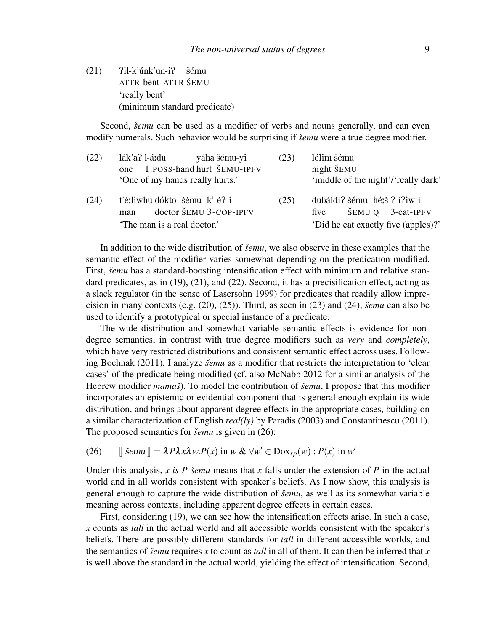$(21)$   $Pil-k'unk'unk'unk'$ ATTR-bent-ATTR ŠEMU šému 'really bent' (minimum standard predicate)

Second, *šemu* can be used as a modifier of verbs and nouns generally, and can even modify numerals. Such behavior would be surprising if *šemu* were a true degree modifier.

| (22) | lák'a? l-áːdu<br>yáha šému-yi   | (23) | lélim šému                                                           |
|------|---------------------------------|------|----------------------------------------------------------------------|
|      | one 1.POSS-hand hurt ŠEMU-IPFV  |      | night ŠEMU                                                           |
|      | 'One of my hands really hurts.' |      | 'middle of the night'/'really dark'                                  |
| (24) | ťé:liwhu dókto šému k'-é?-i     | (25) | dubáldi? šému hé:š ?-í?iw-i                                          |
|      | doctor ŠEMU 3-COP-IPFV<br>man   |      | $\text{\textcolor{blue}{\check{\text{S}}}}$ EMU Q 3-eat-IPFV<br>five |
|      | 'The man is a real doctor.'     |      | 'Did he eat exactly five (apples)?'                                  |

In addition to the wide distribution of *šemu*, we also observe in these examples that the semantic effect of the modifier varies somewhat depending on the predication modified. First, *šemu* has a standard-boosting intensification effect with minimum and relative standard predicates, as in (19), (21), and (22). Second, it has a precisification effect, acting as a slack regulator (in the sense of Lasersohn 1999) for predicates that readily allow imprecision in many contexts (e.g.  $(20)$ ,  $(25)$ ). Third, as seen in  $(23)$  and  $(24)$ , *šemu* can also be used to identify a prototypical or special instance of a predicate.

The wide distribution and somewhat variable semantic effects is evidence for nondegree semantics, in contrast with true degree modifiers such as *very* and *completely*, which have very restricted distributions and consistent semantic effect across uses. Following Bochnak (2011), I analyze *šemu* as a modifier that restricts the interpretation to 'clear cases' of the predicate being modified (cf. also McNabb 2012 for a similar analysis of the Hebrew modifier *mamaš*). To model the contribution of *šemu*, I propose that this modifier incorporates an epistemic or evidential component that is general enough explain its wide distribution, and brings about apparent degree effects in the appropriate cases, building on a similar characterization of English *real(ly)* by Paradis (2003) and Constantinescu (2011). The proposed semantics for *šemu* is given in (26):

(26) 
$$
\llbracket \text{šemu } \rrbracket = \lambda P \lambda x \lambda w P(x) \text{ in } w \& \forall w' \in \text{Dox}_{sp}(w) : P(x) \text{ in } w'
$$

Under this analysis,  $x$  is  $P$ -semu means that  $x$  falls under the extension of  $P$  in the actual world and in all worlds consistent with speaker's beliefs. As I now show, this analysis is general enough to capture the wide distribution of *šemu*, as well as its somewhat variable meaning across contexts, including apparent degree effects in certain cases.

First, considering (19), we can see how the intensification effects arise. In such a case, *x* counts as *tall* in the actual world and all accessible worlds consistent with the speaker's beliefs. There are possibly different standards for *tall* in different accessible worlds, and the semantics of *šemu* requires x to count as *tall* in all of them. It can then be inferred that x is well above the standard in the actual world, yielding the effect of intensification. Second,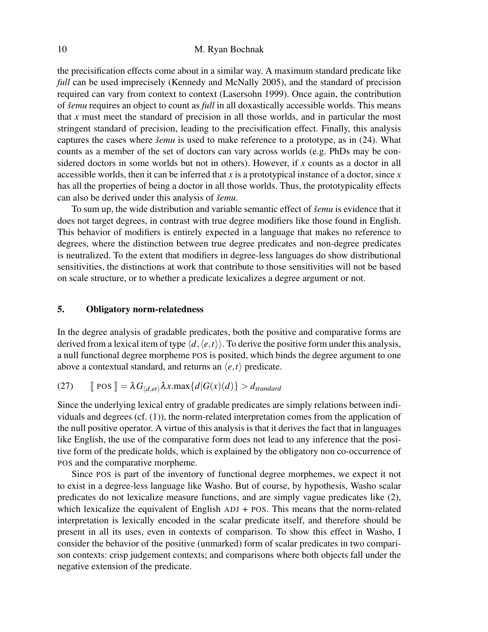the precisification effects come about in a similar way. A maximum standard predicate like *full* can be used imprecisely (Kennedy and McNally 2005), and the standard of precision required can vary from context to context (Lasersohn 1999). Once again, the contribution of *šemu* requires an object to count as *full* in all doxastically accessible worlds. This means that  $x$  must meet the standard of precision in all those worlds, and in particular the most stringent standard of precision, leading to the precisification effect. Finally, this analysis captures the cases where *šemu* is used to make reference to a prototype, as in (24). What counts as a member of the set of doctors can vary across worlds (e.g. PhDs may be considered doctors in some worlds but not in others). However, if *x* counts as a doctor in all accessible worlds, then it can be inferred that *x* is a prototypical instance of a doctor, since *x* has all the properties of being a doctor in all those worlds. Thus, the prototypicality effects can also be derived under this analysis of *šemu*.

To sum up, the wide distribution and variable semantic effect of *šemu* is evidence that it does not target degrees, in contrast with true degree modifiers like those found in English. This behavior of modifiers is entirely expected in a language that makes no reference to degrees, where the distinction between true degree predicates and non-degree predicates is neutralized. To the extent that modifiers in degree-less languages do show distributional sensitivities, the distinctions at work that contribute to those sensitivities will not be based on scale structure, or to whether a predicate lexicalizes a degree argument or not.

# 5. Obligatory norm-relatedness

In the degree analysis of gradable predicates, both the positive and comparative forms are derived from a lexical item of type  $\langle d, \langle e, t \rangle \rangle$ . To derive the positive form under this analysis, a null functional degree morpheme POS is posited, which binds the degree argument to one above a contextual standard, and returns an  $\langle e, t \rangle$  predicate.

(27) 
$$
\mathbb{P} \cos \mathbb{I} = \lambda G_{\langle d, et \rangle} \lambda x. \max \{d | G(x)(d)\} > d_{standard}
$$

Since the underlying lexical entry of gradable predicates are simply relations between individuals and degrees (cf. (1)), the norm-related interpretation comes from the application of the null positive operator. A virtue of this analysis is that it derives the fact that in languages like English, the use of the comparative form does not lead to any inference that the positive form of the predicate holds, which is explained by the obligatory non co-occurrence of POS and the comparative morpheme.

Since POS is part of the inventory of functional degree morphemes, we expect it not to exist in a degree-less language like Washo. But of course, by hypothesis, Washo scalar predicates do not lexicalize measure functions, and are simply vague predicates like (2), which lexicalize the equivalent of English ADJ + POS. This means that the norm-related interpretation is lexically encoded in the scalar predicate itself, and therefore should be present in all its uses, even in contexts of comparison. To show this effect in Washo, I consider the behavior of the positive (unmarked) form of scalar predicates in two comparison contexts: crisp judgement contexts; and comparisons where both objects fall under the negative extension of the predicate.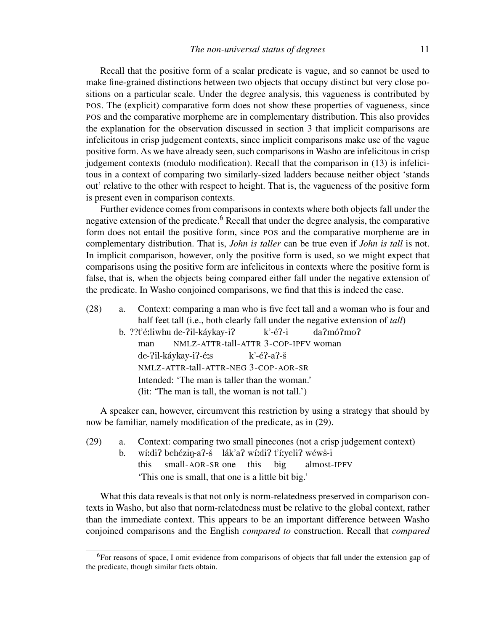Recall that the positive form of a scalar predicate is vague, and so cannot be used to make fine-grained distinctions between two objects that occupy distinct but very close positions on a particular scale. Under the degree analysis, this vagueness is contributed by POS. The (explicit) comparative form does not show these properties of vagueness, since POS and the comparative morpheme are in complementary distribution. This also provides the explanation for the observation discussed in section 3 that implicit comparisons are infelicitous in crisp judgement contexts, since implicit comparisons make use of the vague positive form. As we have already seen, such comparisons in Washo are infelicitous in crisp judgement contexts (modulo modification). Recall that the comparison in (13) is infelicitous in a context of comparing two similarly-sized ladders because neither object 'stands out' relative to the other with respect to height. That is, the vagueness of the positive form is present even in comparison contexts.

Further evidence comes from comparisons in contexts where both objects fall under the negative extension of the predicate.<sup>6</sup> Recall that under the degree analysis, the comparative form does not entail the positive form, since POS and the comparative morpheme are in complementary distribution. That is, *John is taller* can be true even if *John is tall* is not. In implicit comparison, however, only the positive form is used, so we might expect that comparisons using the positive form are infelicitous in contexts where the positive form is false, that is, when the objects being compared either fall under the negative extension of the predicate. In Washo conjoined comparisons, we find that this is indeed the case.

- (28) a. Context: comparing a man who is five feet tall and a woman who is four and half feet tall (i.e., both clearly fall under the negative extension of *tall*)
	- b. ??t'é:liwhu de-?il-káykay-i? man NMLZ-ATTR-tall-ATTR 3-COP-IPFV woman  $k$ '-é?-i da?mó?mo? de-?il-káykay-i?-é:s NMLZ-ATTR-tall-ATTR-NEG 3-COP-AOR-SR  $k'$ -é?-a?-š Intended: 'The man is taller than the woman.' (lit: 'The man is tall, the woman is not tall.')

A speaker can, however, circumvent this restriction by using a strategy that should by now be familiar, namely modification of the predicate, as in (29).

(29) a. Context: comparing two small pinecones (not a crisp judgement context) b. wí:di? behéziŋ-a?-š lák'a? wí:di? t'í:yeli? wéwš-i this small-AOR-SR one this big almost-IPFV 'This one is small, that one is a little bit big.'

What this data reveals is that not only is norm-relatedness preserved in comparison contexts in Washo, but also that norm-relatedness must be relative to the global context, rather than the immediate context. This appears to be an important difference between Washo conjoined comparisons and the English *compared to* construction. Recall that *compared*

<sup>6</sup>For reasons of space, I omit evidence from comparisons of objects that fall under the extension gap of the predicate, though similar facts obtain.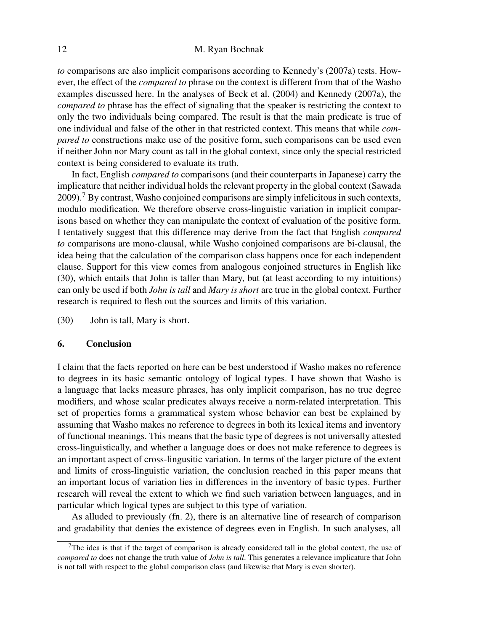# 12 M. Ryan Bochnak

*to* comparisons are also implicit comparisons according to Kennedy's (2007a) tests. However, the effect of the *compared to* phrase on the context is different from that of the Washo examples discussed here. In the analyses of Beck et al. (2004) and Kennedy (2007a), the *compared to* phrase has the effect of signaling that the speaker is restricting the context to only the two individuals being compared. The result is that the main predicate is true of one individual and false of the other in that restricted context. This means that while *compared to* constructions make use of the positive form, such comparisons can be used even if neither John nor Mary count as tall in the global context, since only the special restricted context is being considered to evaluate its truth.

In fact, English *compared to* comparisons (and their counterparts in Japanese) carry the implicature that neither individual holds the relevant property in the global context (Sawada  $2009$ .<sup>7</sup> By contrast, Washo conjoined comparisons are simply infelicitous in such contexts, modulo modification. We therefore observe cross-linguistic variation in implicit comparisons based on whether they can manipulate the context of evaluation of the positive form. I tentatively suggest that this difference may derive from the fact that English *compared to* comparisons are mono-clausal, while Washo conjoined comparisons are bi-clausal, the idea being that the calculation of the comparison class happens once for each independent clause. Support for this view comes from analogous conjoined structures in English like (30), which entails that John is taller than Mary, but (at least according to my intuitions) can only be used if both *John is tall* and *Mary is short* are true in the global context. Further research is required to flesh out the sources and limits of this variation.

(30) John is tall, Mary is short.

#### 6. Conclusion

I claim that the facts reported on here can be best understood if Washo makes no reference to degrees in its basic semantic ontology of logical types. I have shown that Washo is a language that lacks measure phrases, has only implicit comparison, has no true degree modifiers, and whose scalar predicates always receive a norm-related interpretation. This set of properties forms a grammatical system whose behavior can best be explained by assuming that Washo makes no reference to degrees in both its lexical items and inventory of functional meanings. This means that the basic type of degrees is not universally attested cross-linguistically, and whether a language does or does not make reference to degrees is an important aspect of cross-lingusitic variation. In terms of the larger picture of the extent and limits of cross-linguistic variation, the conclusion reached in this paper means that an important locus of variation lies in differences in the inventory of basic types. Further research will reveal the extent to which we find such variation between languages, and in particular which logical types are subject to this type of variation.

As alluded to previously (fn. 2), there is an alternative line of research of comparison and gradability that denies the existence of degrees even in English. In such analyses, all

<sup>&</sup>lt;sup>7</sup>The idea is that if the target of comparison is already considered tall in the global context, the use of *compared to* does not change the truth value of *John is tall*. This generates a relevance implicature that John is not tall with respect to the global comparison class (and likewise that Mary is even shorter).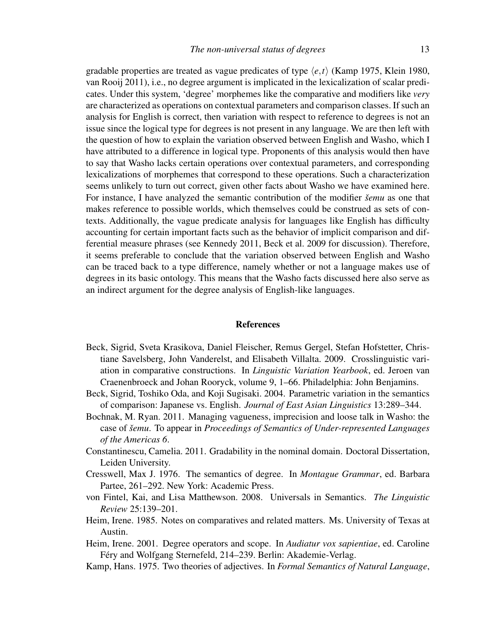gradable properties are treated as vague predicates of type  $\langle e, t \rangle$  (Kamp 1975, Klein 1980, van Rooij 2011), i.e., no degree argument is implicated in the lexicalization of scalar predicates. Under this system, 'degree' morphemes like the comparative and modifiers like *very* are characterized as operations on contextual parameters and comparison classes. If such an analysis for English is correct, then variation with respect to reference to degrees is not an issue since the logical type for degrees is not present in any language. We are then left with the question of how to explain the variation observed between English and Washo, which I have attributed to a difference in logical type. Proponents of this analysis would then have to say that Washo lacks certain operations over contextual parameters, and corresponding lexicalizations of morphemes that correspond to these operations. Such a characterization seems unlikely to turn out correct, given other facts about Washo we have examined here. For instance, I have analyzed the semantic contribution of the modifier *šemu* as one that makes reference to possible worlds, which themselves could be construed as sets of contexts. Additionally, the vague predicate analysis for languages like English has difficulty accounting for certain important facts such as the behavior of implicit comparison and differential measure phrases (see Kennedy 2011, Beck et al. 2009 for discussion). Therefore, it seems preferable to conclude that the variation observed between English and Washo can be traced back to a type difference, namely whether or not a language makes use of degrees in its basic ontology. This means that the Washo facts discussed here also serve as an indirect argument for the degree analysis of English-like languages.

#### References

- Beck, Sigrid, Sveta Krasikova, Daniel Fleischer, Remus Gergel, Stefan Hofstetter, Christiane Savelsberg, John Vanderelst, and Elisabeth Villalta. 2009. Crosslinguistic variation in comparative constructions. In *Linguistic Variation Yearbook*, ed. Jeroen van Craenenbroeck and Johan Rooryck, volume 9, 1–66. Philadelphia: John Benjamins.
- Beck, Sigrid, Toshiko Oda, and Koji Sugisaki. 2004. Parametric variation in the semantics of comparison: Japanese vs. English. *Journal of East Asian Linguistics* 13:289–344.
- Bochnak, M. Ryan. 2011. Managing vagueness, imprecision and loose talk in Washo: the case of *semu ˇ* . To appear in *Proceedings of Semantics of Under-represented Languages of the Americas 6*.
- Constantinescu, Camelia. 2011. Gradability in the nominal domain. Doctoral Dissertation, Leiden University.
- Cresswell, Max J. 1976. The semantics of degree. In *Montague Grammar*, ed. Barbara Partee, 261–292. New York: Academic Press.
- von Fintel, Kai, and Lisa Matthewson. 2008. Universals in Semantics. *The Linguistic Review* 25:139–201.
- Heim, Irene. 1985. Notes on comparatives and related matters. Ms. University of Texas at Austin.
- Heim, Irene. 2001. Degree operators and scope. In *Audiatur vox sapientiae*, ed. Caroline Féry and Wolfgang Sternefeld, 214–239. Berlin: Akademie-Verlag.
- Kamp, Hans. 1975. Two theories of adjectives. In *Formal Semantics of Natural Language*,